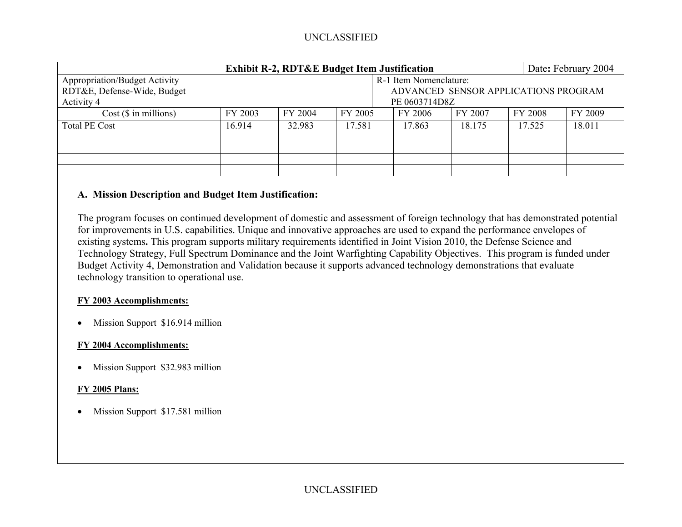# UNCLASSIFIED

| <b>Exhibit R-2, RDT&amp;E Budget Item Justification</b>      |         |                                                                |         |               |         |         |                | Date: February 2004 |  |
|--------------------------------------------------------------|---------|----------------------------------------------------------------|---------|---------------|---------|---------|----------------|---------------------|--|
| Appropriation/Budget Activity<br>RDT&E, Defense-Wide, Budget |         | R-1 Item Nomenclature:<br>ADVANCED SENSOR APPLICATIONS PROGRAM |         |               |         |         |                |                     |  |
| Activity 4                                                   |         |                                                                |         | PE 0603714D8Z |         |         |                |                     |  |
| $Cost$ ( $\$\$ in millions)                                  | FY 2003 | FY 2004                                                        | FY 2005 |               | FY 2006 | FY 2007 | <b>FY 2008</b> | FY 2009             |  |
| <b>Total PE Cost</b>                                         | 16.914  | 32.983                                                         | 17.581  |               | 17.863  | 18.175  | 17.525         | 18.011              |  |
|                                                              |         |                                                                |         |               |         |         |                |                     |  |
|                                                              |         |                                                                |         |               |         |         |                |                     |  |
|                                                              |         |                                                                |         |               |         |         |                |                     |  |

### **A. Mission Description and Budget Item Justification:**

The program focuses on continued development of domestic and assessment of foreign technology that has demonstrated potential for improvements in U.S. capabilities. Unique and innovative approaches are used to expand the performance envelopes of existing systems**.** This program supports military requirements identified in Joint Vision 2010, the Defense Science and Technology Strategy, Full Spectrum Dominance and the Joint Warfighting Capability Objectives. This program is funded under Budget Activity 4, Demonstration and Validation because it supports advanced technology demonstrations that evaluate technology transition to operational use.

#### **FY 2003 Accomplishments:**

• Mission Support \$16.914 million

#### **FY 2004 Accomplishments:**

•Mission Support \$32.983 million

#### **FY 2005 Plans:**

• Mission Support \$17.581 million